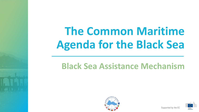# **The Common Maritime Agenda for the Black Sea**

## **Black Sea Assistance Mechanism**





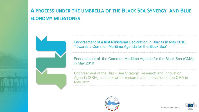## **A PROCESS UNDER THE UMBRELLA OF THE BLACK SEA SYNERGY AND BLUE ECONOMY MILESTONES**



Endorsement of a first Ministerial Declaration in Burgas in May 2018, 'Towards a Common Maritime Agenda for the Black Sea'

Endorsement of the Common Maritime Agenda for the Black Sea (CMA) in May 2019

Endorsement of the Black Sea Strategic Research and Innovation Agenda (SRIA) as the pillar for research and innovation of the CMA in May 2019



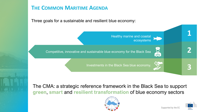## **THE COMMON MARITIME AGENDA**

Three goals for a sustainable and resilient blue economy:

Competitive, innovative and sustainable blue economy for the Black Sea

Investments in the Black Sea blue economy.

Healthy marine and coastal

ecosystems

The CMA: a strategic reference framework in the Black Sea to support **green**, **smart** and **resilient transformation** of blue economy sectors





**2**

**3**

**1**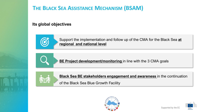## **THE BLACK SEA ASSISTANCE MECHANISM (BSAM)**

#### **Its global objectives**



Support the implementation and follow up of the CMA for the Black Sea **at regional and national level**



**BE Project development/monitoring** in line with the 3 CMA goals



**Black Sea BE stakeholders engagement and awareness** in the continuation

of the Black Sea Blue Growth Facility



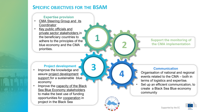### **SPECIFIC OBJECTIVES FOR THE BSAM**

#### **Expertise provision**

- CMA Steering Group and its **Coordinator**
- Key public officials and private sector stakeholders in the beneficiary countries to adhere to the principles of the blue economy and the CMA priorities.

#### **Project development**

- Improve the knowledge and assure project development support for a sustainable blue economy
- Improve the capacity of the Black Sea Blue Economy stakeholders to make the best use of funding opportunities for cooperation in project in the Black Sea

#### **Support the monitoring of the CMA implementation**

#### **Communication**

- Organisation of national and regional events related to the CMA – both in terms of logistics and expertise.
- Set up an efficient communication, to create a Black Sea Blue economy community



**2**

**4**

**1**

**3**



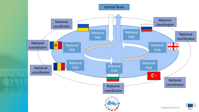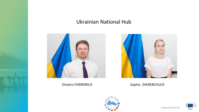## Ukrainian National Hub





Dmytro CHEBERKUS Sophia ZHEREBCHUCK



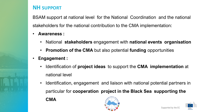### **NH SUPPORT**

BSAM support at national level for the National Coordination and the national stakeholders for the national contribution to the CMA implementation:

- **Awareness :**
	- National **stakeholders** engagement with **national events organisation**
	- **Promotion of the CMA** but also potential **funding** opportunities
- **Engagement :**
	- Identification of **project ideas** to support the **CMA implementation** at national level
	- Identification, engagement and liaison with national potential partners in particular for **cooperation project in the Black Sea supporting the CMA**